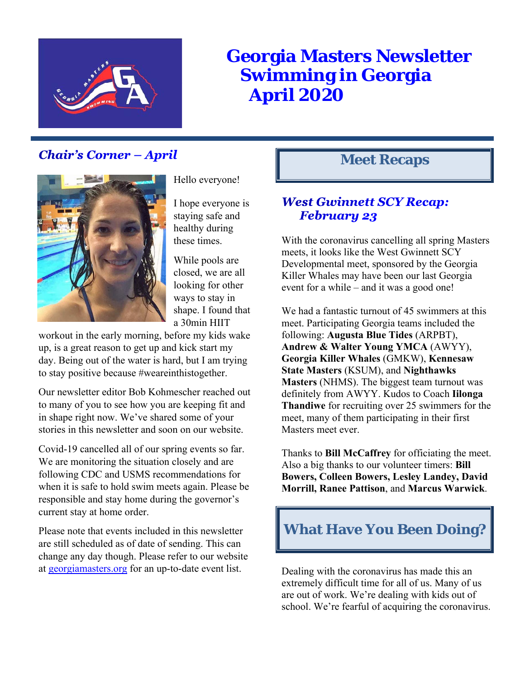

# **Georgia Masters Newsletter Swimming in Georgia April 2020**

# **Chair's Corner - April**



Hello everyone!

I hope everyone is staying safe and healthy during these times.

While pools are closed, we are all looking for other ways to stay in shape. I found that a 30min HIIT

workout in the early morning, before my kids wake up, is a great reason to get up and kick start my day. Being out of the water is hard, but I am trying to stay positive because #weareinthistogether.

Our newsletter editor Bob Kohmescher reached out to many of you to see how you are keeping fit and in shape right now. We've shared some of your stories in this newsletter and soon on our website.

Covid-19 cancelled all of our spring events so far. We are monitoring the situation closely and are following CDC and USMS recommendations for when it is safe to hold swim meets again. Please be responsible and stay home during the governor's current stay at home order.

Please note that events included in this newsletter are still scheduled as of date of sending. This can change any day though. Please refer to our website at georgiamasters.org for an up-to-date event list.

# **Meet Recaps**

# **West Gwinnett SCY Recap: February 23**

With the coronavirus cancelling all spring Masters meets, it looks like the West Gwinnett SCY Developmental meet, sponsored by the Georgia Killer Whales may have been our last Georgia event for a while – and it was a good one!

We had a fantastic turnout of 45 swimmers at this meet. Participating Georgia teams included the following: **Augusta Blue Tides** (ARPBT), **Andrew & Walter Young YMCA** (AWYY), **Georgia Killer Whales** (GMKW), **Kennesaw State Masters** (KSUM), and **Nighthawks Masters** (NHMS). The biggest team turnout was definitely from AWYY. Kudos to Coach **Iilonga Thandiwe** for recruiting over 25 swimmers for the meet, many of them participating in their first Masters meet ever.

Thanks to **Bill McCaffrey** for officiating the meet. Also a big thanks to our volunteer timers: **Bill Bowers, Colleen Bowers, Lesley Landey, David Morrill, Ranee Pattison**, and **Marcus Warwick**.

# **What Have You Been Doing?**

Dealing with the coronavirus has made this an extremely difficult time for all of us. Many of us are out of work. We're dealing with kids out of school. We're fearful of acquiring the coronavirus.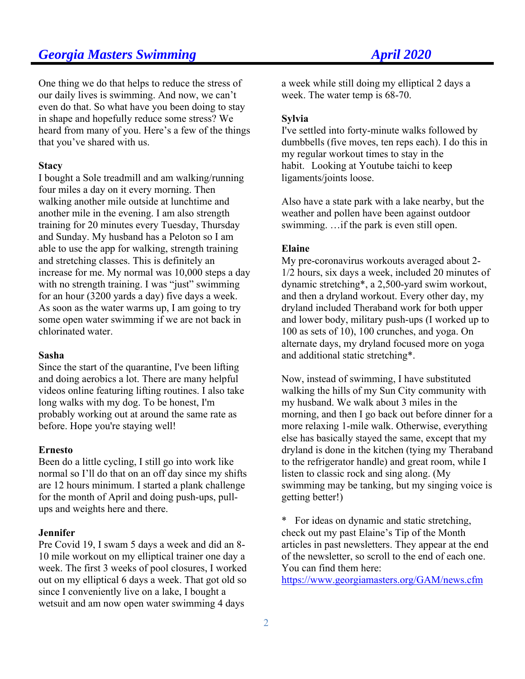One thing we do that helps to reduce the stress of our daily lives is swimming. And now, we can't even do that. So what have you been doing to stay in shape and hopefully reduce some stress? We heard from many of you. Here's a few of the things that you've shared with us.

#### **Stacy**

I bought a Sole treadmill and am walking/running four miles a day on it every morning. Then walking another mile outside at lunchtime and another mile in the evening. I am also strength training for 20 minutes every Tuesday, Thursday and Sunday. My husband has a Peloton so I am able to use the app for walking, strength training and stretching classes. This is definitely an increase for me. My normal was 10,000 steps a day with no strength training. I was "just" swimming for an hour (3200 yards a day) five days a week. As soon as the water warms up, I am going to try some open water swimming if we are not back in chlorinated water.

#### **Sasha**

Since the start of the quarantine, I've been lifting and doing aerobics a lot. There are many helpful videos online featuring lifting routines. I also take long walks with my dog. To be honest, I'm probably working out at around the same rate as before. Hope you're staying well!

#### **Ernesto**

Been do a little cycling, I still go into work like normal so I'll do that on an off day since my shifts are 12 hours minimum. I started a plank challenge for the month of April and doing push-ups, pullups and weights here and there.

### **Jennifer**

Pre Covid 19, I swam 5 days a week and did an 8- 10 mile workout on my elliptical trainer one day a week. The first 3 weeks of pool closures, I worked out on my elliptical 6 days a week. That got old so since I conveniently live on a lake, I bought a wetsuit and am now open water swimming 4 days

a week while still doing my elliptical 2 days a week. The water temp is 68-70.

### **Sylvia**

I've settled into forty-minute walks followed by dumbbells (five moves, ten reps each). I do this in my regular workout times to stay in the habit. Looking at Youtube taichi to keep ligaments/joints loose.

Also have a state park with a lake nearby, but the weather and pollen have been against outdoor swimming. …if the park is even still open.

#### **Elaine**

My pre-coronavirus workouts averaged about 2- 1/2 hours, six days a week, included 20 minutes of dynamic stretching\*, a 2,500-yard swim workout, and then a dryland workout. Every other day, my dryland included Theraband work for both upper and lower body, military push-ups (I worked up to 100 as sets of 10), 100 crunches, and yoga. On alternate days, my dryland focused more on yoga and additional static stretching\*.

Now, instead of swimming, I have substituted walking the hills of my Sun City community with my husband. We walk about 3 miles in the morning, and then I go back out before dinner for a more relaxing 1-mile walk. Otherwise, everything else has basically stayed the same, except that my dryland is done in the kitchen (tying my Theraband to the refrigerator handle) and great room, while I listen to classic rock and sing along. (My swimming may be tanking, but my singing voice is getting better!)

\* For ideas on dynamic and static stretching, check out my past Elaine's Tip of the Month articles in past newsletters. They appear at the end of the newsletter, so scroll to the end of each one. You can find them here:

https://www.georgiamasters.org/GAM/news.cfm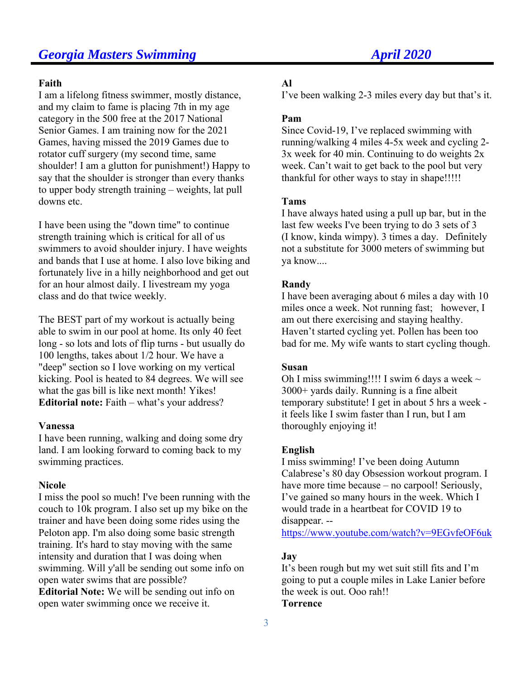#### **Faith**

I am a lifelong fitness swimmer, mostly distance, and my claim to fame is placing 7th in my age category in the 500 free at the 2017 National Senior Games. I am training now for the 2021 Games, having missed the 2019 Games due to rotator cuff surgery (my second time, same shoulder! I am a glutton for punishment!) Happy to say that the shoulder is stronger than every thanks to upper body strength training – weights, lat pull downs etc.

I have been using the "down time" to continue strength training which is critical for all of us swimmers to avoid shoulder injury. I have weights and bands that I use at home. I also love biking and fortunately live in a hilly neighborhood and get out for an hour almost daily. I livestream my yoga class and do that twice weekly.

The BEST part of my workout is actually being able to swim in our pool at home. Its only 40 feet long - so lots and lots of flip turns - but usually do 100 lengths, takes about 1/2 hour. We have a "deep" section so I love working on my vertical kicking. Pool is heated to 84 degrees. We will see what the gas bill is like next month! Yikes! **Editorial note:** Faith – what's your address?

#### **Vanessa**

I have been running, walking and doing some dry land. I am looking forward to coming back to my swimming practices.

### **Nicole**

I miss the pool so much! I've been running with the couch to 10k program. I also set up my bike on the trainer and have been doing some rides using the Peloton app. I'm also doing some basic strength training. It's hard to stay moving with the same intensity and duration that I was doing when swimming. Will y'all be sending out some info on open water swims that are possible? **Editorial Note:** We will be sending out info on

open water swimming once we receive it.

### **Al**

I've been walking 2-3 miles every day but that's it.

### **Pam**

Since Covid-19, I've replaced swimming with running/walking 4 miles 4-5x week and cycling 2- 3x week for 40 min. Continuing to do weights 2x week. Can't wait to get back to the pool but very thankful for other ways to stay in shape!!!!!

#### **Tams**

I have always hated using a pull up bar, but in the last few weeks I've been trying to do 3 sets of 3 (I know, kinda wimpy). 3 times a day. Definitely not a substitute for 3000 meters of swimming but ya know....

### **Randy**

I have been averaging about 6 miles a day with 10 miles once a week. Not running fast; however, I am out there exercising and staying healthy. Haven't started cycling yet. Pollen has been too bad for me. My wife wants to start cycling though.

### **Susan**

Oh I miss swimming!!!! I swim 6 days a week  $\sim$ 3000+ yards daily. Running is a fine albeit temporary substitute! I get in about 5 hrs a week it feels like I swim faster than I run, but I am thoroughly enjoying it!

#### **English**

I miss swimming! I've been doing Autumn Calabrese's 80 day Obsession workout program. I have more time because – no carpool! Seriously, I've gained so many hours in the week. Which I would trade in a heartbeat for COVID 19 to disappear. --

https://www.youtube.com/watch?v=9EGvfeOF6uk

### **Jay**

It's been rough but my wet suit still fits and I'm going to put a couple miles in Lake Lanier before the week is out. Ooo rah!! **Torrence**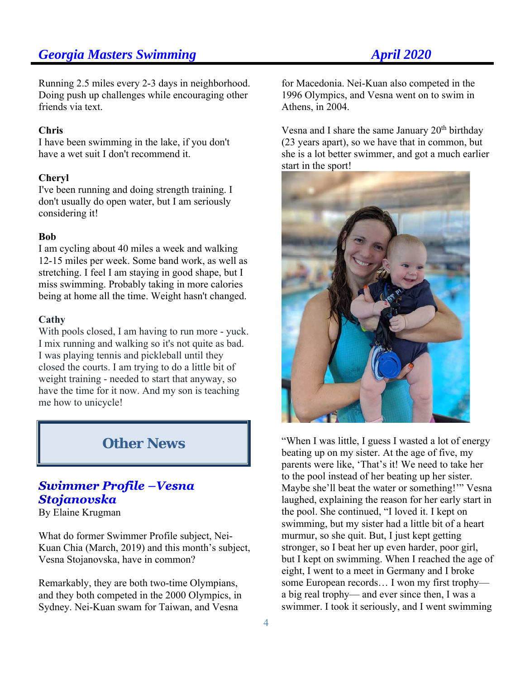Running 2.5 miles every 2-3 days in neighborhood. Doing push up challenges while encouraging other friends via text.

#### **Chris**

I have been swimming in the lake, if you don't have a wet suit I don't recommend it.

#### **Cheryl**

I've been running and doing strength training. I don't usually do open water, but I am seriously considering it!

#### **Bob**

I am cycling about 40 miles a week and walking 12-15 miles per week. Some band work, as well as stretching. I feel I am staying in good shape, but I miss swimming. Probably taking in more calories being at home all the time. Weight hasn't changed.

#### **Cathy**

With pools closed, I am having to run more - yuck. I mix running and walking so it's not quite as bad. I was playing tennis and pickleball until they closed the courts. I am trying to do a little bit of weight training - needed to start that anyway, so have the time for it now. And my son is teaching me how to unicycle!

# **Other News**

# **Swimmer Profile -Vesna Stojanovska**

By Elaine Krugman

What do former Swimmer Profile subject, Nei-Kuan Chia (March, 2019) and this month's subject, Vesna Stojanovska, have in common?

Remarkably, they are both two-time Olympians, and they both competed in the 2000 Olympics, in Sydney. Nei-Kuan swam for Taiwan, and Vesna

for Macedonia. Nei-Kuan also competed in the 1996 Olympics, and Vesna went on to swim in Athens, in 2004.

Vesna and I share the same January  $20<sup>th</sup>$  birthday (23 years apart), so we have that in common, but she is a lot better swimmer, and got a much earlier start in the sport!



"When I was little, I guess I wasted a lot of energy beating up on my sister. At the age of five, my parents were like, 'That's it! We need to take her to the pool instead of her beating up her sister. Maybe she'll beat the water or something!'" Vesna laughed, explaining the reason for her early start in the pool. She continued, "I loved it. I kept on swimming, but my sister had a little bit of a heart murmur, so she quit. But, I just kept getting stronger, so I beat her up even harder, poor girl, but I kept on swimming. When I reached the age of eight, I went to a meet in Germany and I broke some European records… I won my first trophy a big real trophy— and ever since then, I was a swimmer. I took it seriously, and I went swimming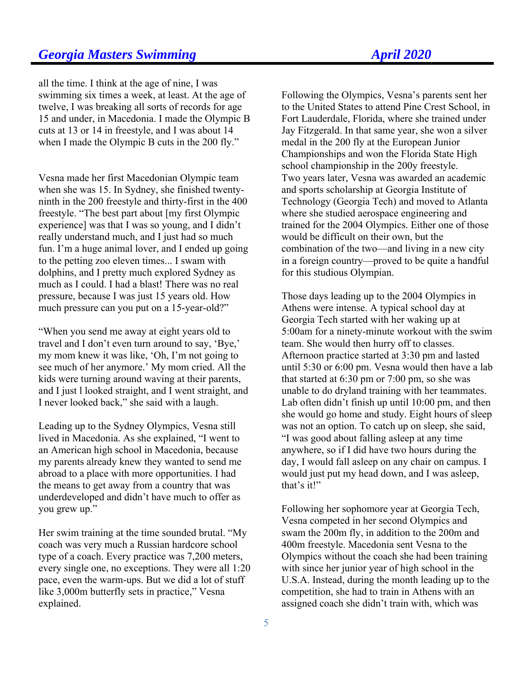all the time. I think at the age of nine, I was swimming six times a week, at least. At the age of twelve, I was breaking all sorts of records for age 15 and under, in Macedonia. I made the Olympic B cuts at 13 or 14 in freestyle, and I was about 14 when I made the Olympic B cuts in the 200 fly."

Vesna made her first Macedonian Olympic team when she was 15. In Sydney, she finished twentyninth in the 200 freestyle and thirty-first in the 400 freestyle. "The best part about [my first Olympic experience] was that I was so young, and I didn't really understand much, and I just had so much fun. I'm a huge animal lover, and I ended up going to the petting zoo eleven times... I swam with dolphins, and I pretty much explored Sydney as much as I could. I had a blast! There was no real pressure, because I was just 15 years old. How much pressure can you put on a 15-year-old?"

"When you send me away at eight years old to travel and I don't even turn around to say, 'Bye,' my mom knew it was like, 'Oh, I'm not going to see much of her anymore.' My mom cried. All the kids were turning around waving at their parents, and I just l looked straight, and I went straight, and I never looked back," she said with a laugh.

Leading up to the Sydney Olympics, Vesna still lived in Macedonia. As she explained, "I went to an American high school in Macedonia, because my parents already knew they wanted to send me abroad to a place with more opportunities. I had the means to get away from a country that was underdeveloped and didn't have much to offer as you grew up."

Her swim training at the time sounded brutal. "My coach was very much a Russian hardcore school type of a coach. Every practice was 7,200 meters, every single one, no exceptions. They were all 1:20 pace, even the warm-ups. But we did a lot of stuff like 3,000m butterfly sets in practice," Vesna explained.

Following the Olympics, Vesna's parents sent her to the United States to attend Pine Crest School, in Fort Lauderdale, Florida, where she trained under Jay Fitzgerald. In that same year, she won a silver medal in the 200 fly at the European Junior Championships and won the Florida State High school championship in the 200y freestyle. Two years later, Vesna was awarded an academic and sports scholarship at Georgia Institute of Technology (Georgia Tech) and moved to Atlanta where she studied aerospace engineering and trained for the 2004 Olympics. Either one of those would be difficult on their own, but the combination of the two—and living in a new city in a foreign country—proved to be quite a handful for this studious Olympian.

Those days leading up to the 2004 Olympics in Athens were intense. A typical school day at Georgia Tech started with her waking up at 5:00am for a ninety-minute workout with the swim team. She would then hurry off to classes. Afternoon practice started at 3:30 pm and lasted until 5:30 or 6:00 pm. Vesna would then have a lab that started at 6:30 pm or 7:00 pm, so she was unable to do dryland training with her teammates. Lab often didn't finish up until 10:00 pm, and then she would go home and study. Eight hours of sleep was not an option. To catch up on sleep, she said, "I was good about falling asleep at any time anywhere, so if I did have two hours during the day, I would fall asleep on any chair on campus. I would just put my head down, and I was asleep, that's it!"

Following her sophomore year at Georgia Tech, Vesna competed in her second Olympics and swam the 200m fly, in addition to the 200m and 400m freestyle. Macedonia sent Vesna to the Olympics without the coach she had been training with since her junior year of high school in the U.S.A. Instead, during the month leading up to the competition, she had to train in Athens with an assigned coach she didn't train with, which was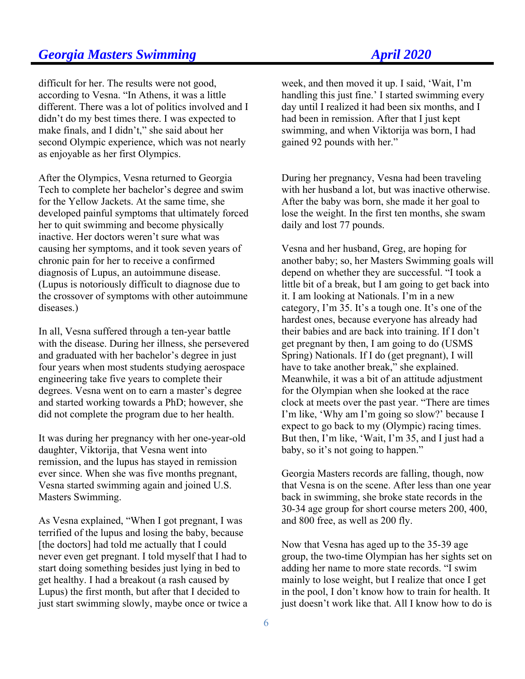difficult for her. The results were not good, according to Vesna. "In Athens, it was a little different. There was a lot of politics involved and I didn't do my best times there. I was expected to make finals, and I didn't," she said about her second Olympic experience, which was not nearly as enjoyable as her first Olympics.

After the Olympics, Vesna returned to Georgia Tech to complete her bachelor's degree and swim for the Yellow Jackets. At the same time, she developed painful symptoms that ultimately forced her to quit swimming and become physically inactive. Her doctors weren't sure what was causing her symptoms, and it took seven years of chronic pain for her to receive a confirmed diagnosis of Lupus, an autoimmune disease. (Lupus is notoriously difficult to diagnose due to the crossover of symptoms with other autoimmune diseases.)

In all, Vesna suffered through a ten-year battle with the disease. During her illness, she persevered and graduated with her bachelor's degree in just four years when most students studying aerospace engineering take five years to complete their degrees. Vesna went on to earn a master's degree and started working towards a PhD; however, she did not complete the program due to her health.

It was during her pregnancy with her one-year-old daughter, Viktorija, that Vesna went into remission, and the lupus has stayed in remission ever since. When she was five months pregnant, Vesna started swimming again and joined U.S. Masters Swimming.

As Vesna explained, "When I got pregnant, I was terrified of the lupus and losing the baby, because [the doctors] had told me actually that I could never even get pregnant. I told myself that I had to start doing something besides just lying in bed to get healthy. I had a breakout (a rash caused by Lupus) the first month, but after that I decided to just start swimming slowly, maybe once or twice a week, and then moved it up. I said, 'Wait, I'm handling this just fine.' I started swimming every day until I realized it had been six months, and I had been in remission. After that I just kept swimming, and when Viktorija was born, I had gained 92 pounds with her."

During her pregnancy, Vesna had been traveling with her husband a lot, but was inactive otherwise. After the baby was born, she made it her goal to lose the weight. In the first ten months, she swam daily and lost 77 pounds.

Vesna and her husband, Greg, are hoping for another baby; so, her Masters Swimming goals will depend on whether they are successful. "I took a little bit of a break, but I am going to get back into it. I am looking at Nationals. I'm in a new category, I'm 35. It's a tough one. It's one of the hardest ones, because everyone has already had their babies and are back into training. If I don't get pregnant by then, I am going to do (USMS Spring) Nationals. If I do (get pregnant), I will have to take another break," she explained. Meanwhile, it was a bit of an attitude adjustment for the Olympian when she looked at the race clock at meets over the past year. "There are times I'm like, 'Why am I'm going so slow?' because I expect to go back to my (Olympic) racing times. But then, I'm like, 'Wait, I'm 35, and I just had a baby, so it's not going to happen."

Georgia Masters records are falling, though, now that Vesna is on the scene. After less than one year back in swimming, she broke state records in the 30-34 age group for short course meters 200, 400, and 800 free, as well as 200 fly.

Now that Vesna has aged up to the 35-39 age group, the two-time Olympian has her sights set on adding her name to more state records. "I swim mainly to lose weight, but I realize that once I get in the pool, I don't know how to train for health. It just doesn't work like that. All I know how to do is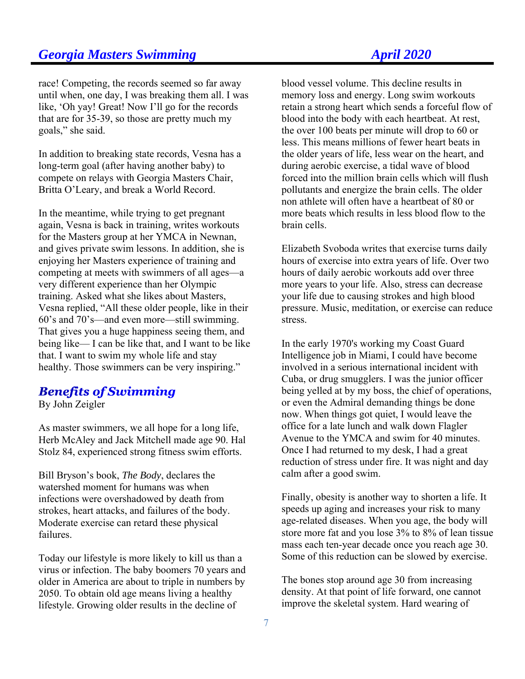race! Competing, the records seemed so far away until when, one day, I was breaking them all. I was like, 'Oh yay! Great! Now I'll go for the records that are for 35-39, so those are pretty much my goals," she said.

In addition to breaking state records, Vesna has a long-term goal (after having another baby) to compete on relays with Georgia Masters Chair, Britta O'Leary, and break a World Record.

In the meantime, while trying to get pregnant again, Vesna is back in training, writes workouts for the Masters group at her YMCA in Newnan, and gives private swim lessons. In addition, she is enjoying her Masters experience of training and competing at meets with swimmers of all ages—a very different experience than her Olympic training. Asked what she likes about Masters, Vesna replied, "All these older people, like in their 60's and 70's—and even more—still swimming. That gives you a huge happiness seeing them, and being like— I can be like that, and I want to be like that. I want to swim my whole life and stay healthy. Those swimmers can be very inspiring."

# **Benefits of Swimming**

By John Zeigler

As master swimmers, we all hope for a long life, Herb McAley and Jack Mitchell made age 90. Hal Stolz 84, experienced strong fitness swim efforts.

Bill Bryson's book, *The Body*, declares the watershed moment for humans was when infections were overshadowed by death from strokes, heart attacks, and failures of the body. Moderate exercise can retard these physical failures.

Today our lifestyle is more likely to kill us than a virus or infection. The baby boomers 70 years and older in America are about to triple in numbers by 2050. To obtain old age means living a healthy lifestyle. Growing older results in the decline of

blood vessel volume. This decline results in memory loss and energy. Long swim workouts retain a strong heart which sends a forceful flow of blood into the body with each heartbeat. At rest, the over 100 beats per minute will drop to 60 or less. This means millions of fewer heart beats in the older years of life, less wear on the heart, and during aerobic exercise, a tidal wave of blood forced into the million brain cells which will flush pollutants and energize the brain cells. The older non athlete will often have a heartbeat of 80 or more beats which results in less blood flow to the brain cells.

Elizabeth Svoboda writes that exercise turns daily hours of exercise into extra years of life. Over two hours of daily aerobic workouts add over three more years to your life. Also, stress can decrease your life due to causing strokes and high blood pressure. Music, meditation, or exercise can reduce stress.

In the early 1970's working my Coast Guard Intelligence job in Miami, I could have become involved in a serious international incident with Cuba, or drug smugglers. I was the junior officer being yelled at by my boss, the chief of operations, or even the Admiral demanding things be done now. When things got quiet, I would leave the office for a late lunch and walk down Flagler Avenue to the YMCA and swim for 40 minutes. Once I had returned to my desk, I had a great reduction of stress under fire. It was night and day calm after a good swim.

Finally, obesity is another way to shorten a life. It speeds up aging and increases your risk to many age-related diseases. When you age, the body will store more fat and you lose 3% to 8% of lean tissue mass each ten-year decade once you reach age 30. Some of this reduction can be slowed by exercise.

The bones stop around age 30 from increasing density. At that point of life forward, one cannot improve the skeletal system. Hard wearing of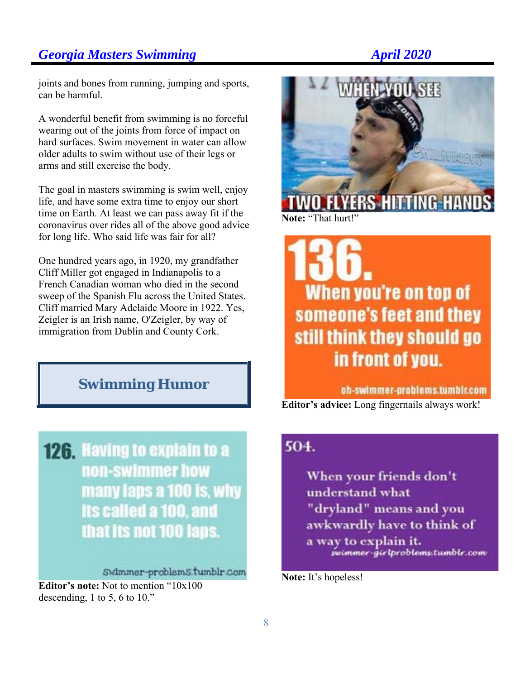joints and bones from running, jumping and sports, can be harmful.

A wonderful benefit from swimming is no forceful wearing out of the joints from force of impact on hard surfaces. Swim movement in water can allow older adults to swim without use of their legs or arms and still exercise the body.

The goal in masters swimming is swim well, enjoy life, and have some extra time to enjoy our short time on Earth. At least we can pass away fit if the coronavirus over rides all of the above good advice for long life. Who said life was fair for all?

One hundred years ago, in 1920, my grandfather Cliff Miller got engaged in Indianapolis to a French Canadian woman who died in the second sweep of the Spanish Flu across the United States. Cliff married Mary Adelaide Moore in 1922. Yes, Zeigler is an Irish name, O'Zeigler, by way of immigration from Dublin and County Cork.

# **Swimming Humor**

**126. Having to explain to a** non-swimmer how many laps a 100 is, why its called a 100, and that its not 100 laps.

Swimmer-problemS.tumblr.com

**Editor's note:** Not to mention "10x100 descending, 1 to 5, 6 to 10."



When you're on top of someone's feet and they still think they should go in front of you.

oh-swimmer-problems.tumblr.com

**Editor's advice:** Long fingernails always work!

# 504.

When your friends don't understand what "dryland" means and you awkwardly have to think of a way to explain it. swimmer-girlproblems.tumblr.com

**Note:** It's hopeless!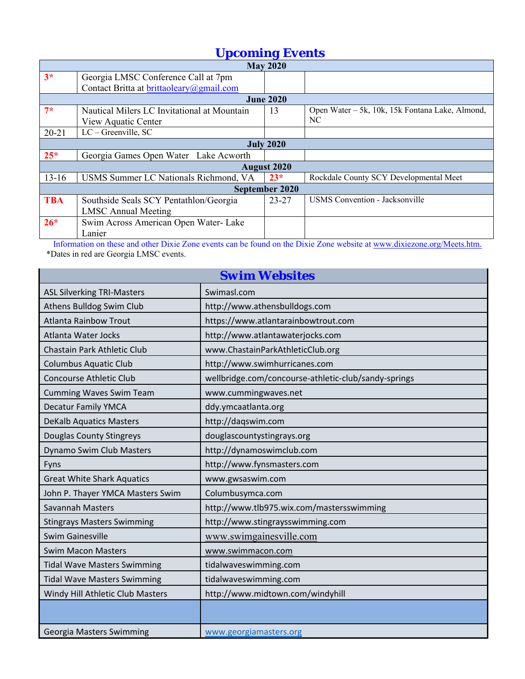# *Upcoming Events*

| $\sim$             |                                             |           |                                                 |  |  |  |
|--------------------|---------------------------------------------|-----------|-------------------------------------------------|--|--|--|
| <b>May 2020</b>    |                                             |           |                                                 |  |  |  |
| $3*$               | Georgia LMSC Conference Call at 7pm         |           |                                                 |  |  |  |
|                    | Contact Britta at brittaoleary@gmail.com    |           |                                                 |  |  |  |
| <b>June 2020</b>   |                                             |           |                                                 |  |  |  |
| $7*$               | Nautical Milers LC Invitational at Mountain | 13        | Open Water - 5k, 10k, 15k Fontana Lake, Almond, |  |  |  |
|                    | View Aquatic Center                         |           | NC.                                             |  |  |  |
| $20 - 21$          | $LC - Greenville, SC$                       |           |                                                 |  |  |  |
| <b>July 2020</b>   |                                             |           |                                                 |  |  |  |
| $25*$              | Georgia Games Open Water Lake Acworth       |           |                                                 |  |  |  |
| <b>August 2020</b> |                                             |           |                                                 |  |  |  |
| $13 - 16$          | USMS Summer LC Nationals Richmond, VA       | $23*$     | Rockdale County SCY Developmental Meet          |  |  |  |
| September 2020     |                                             |           |                                                 |  |  |  |
| <b>TBA</b>         | Southside Seals SCY Pentathlon/Georgia      | $23 - 27$ | <b>USMS</b> Convention - Jacksonville           |  |  |  |
|                    | <b>LMSC Annual Meeting</b>                  |           |                                                 |  |  |  |
| $26*$              | Swim Across American Open Water- Lake       |           |                                                 |  |  |  |
|                    | Lanier                                      |           |                                                 |  |  |  |

Information on these and other Dixie Zone events can be found on the Dixie Zone website at www.dixiezone.org/Meets.htm. \*Dates in red are Georgia LMSC events.

| <b>Swim Websites</b>               |                                                      |  |  |
|------------------------------------|------------------------------------------------------|--|--|
| <b>ASL Silverking TRI-Masters</b>  | Swimasl.com                                          |  |  |
| Athens Bulldog Swim Club           | http://www.athensbulldogs.com                        |  |  |
| <b>Atlanta Rainbow Trout</b>       | https://www.atlantarainbowtrout.com                  |  |  |
| Atlanta Water Jocks                | http://www.atlantawaterjocks.com                     |  |  |
| Chastain Park Athletic Club        | www.ChastainParkAthleticClub.org                     |  |  |
| <b>Columbus Aquatic Club</b>       | http://www.swimhurricanes.com                        |  |  |
| <b>Concourse Athletic Club</b>     | wellbridge.com/concourse-athletic-club/sandy-springs |  |  |
| <b>Cumming Waves Swim Team</b>     | www.cummingwaves.net                                 |  |  |
| <b>Decatur Family YMCA</b>         | ddy.ymcaatlanta.org                                  |  |  |
| <b>DeKalb Aquatics Masters</b>     | http://daqswim.com                                   |  |  |
| Douglas County Stingreys           | douglascountystingrays.org                           |  |  |
| Dynamo Swim Club Masters           | http://dynamoswimclub.com                            |  |  |
| Fyns                               | http://www.fynsmasters.com                           |  |  |
| <b>Great White Shark Aquatics</b>  | www.gwsaswim.com                                     |  |  |
| John P. Thayer YMCA Masters Swim   | Columbusymca.com                                     |  |  |
| Savannah Masters                   | http://www.tlb975.wix.com/mastersswimming            |  |  |
| <b>Stingrays Masters Swimming</b>  | http://www.stingraysswimming.com                     |  |  |
| <b>Swim Gainesville</b>            | www.swimgainesville.com                              |  |  |
| <b>Swim Macon Masters</b>          | www.swimmacon.com                                    |  |  |
| <b>Tidal Wave Masters Swimming</b> | tidalwaveswimming.com                                |  |  |
| <b>Tidal Wave Masters Swimming</b> | tidalwaveswimming.com                                |  |  |
| Windy Hill Athletic Club Masters   | http://www.midtown.com/windyhill                     |  |  |
|                                    |                                                      |  |  |
| Georgia Masters Swimming           | www.georgiamasters.org                               |  |  |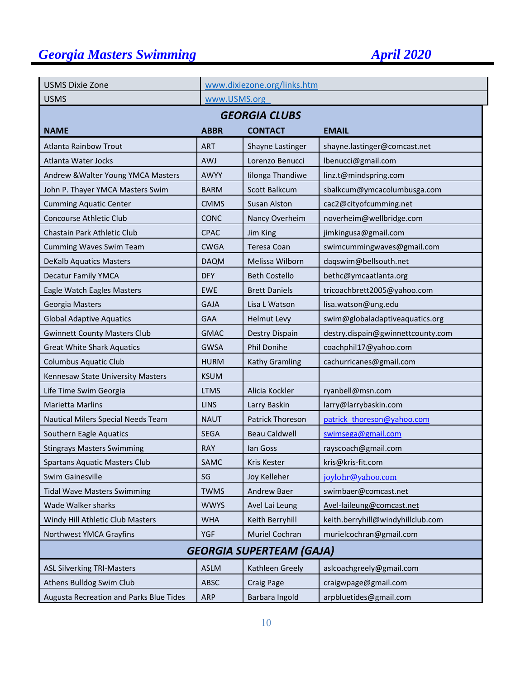| <b>USMS Dixie Zone</b>                  |             | www.dixiezone.org/links.htm |                                   |  |  |  |
|-----------------------------------------|-------------|-----------------------------|-----------------------------------|--|--|--|
| <b>USMS</b>                             |             | www.USMS.org                |                                   |  |  |  |
| <b>GEORGIA CLUBS</b>                    |             |                             |                                   |  |  |  |
| <b>NAME</b>                             | <b>ABBR</b> | <b>CONTACT</b>              | <b>EMAIL</b>                      |  |  |  |
| Atlanta Rainbow Trout                   | <b>ART</b>  | Shayne Lastinger            | shayne.lastinger@comcast.net      |  |  |  |
| Atlanta Water Jocks                     | <b>AWJ</b>  | Lorenzo Benucci             | lbenucci@gmail.com                |  |  |  |
| Andrew & Walter Young YMCA Masters      | <b>AWYY</b> | Iilonga Thandiwe            | linz.t@mindspring.com             |  |  |  |
| John P. Thayer YMCA Masters Swim        | <b>BARM</b> | Scott Balkcum               | sbalkcum@ymcacolumbusga.com       |  |  |  |
| <b>Cumming Aquatic Center</b>           | <b>CMMS</b> | <b>Susan Alston</b>         | cac2@cityofcumming.net            |  |  |  |
| <b>Concourse Athletic Club</b>          | <b>CONC</b> | Nancy Overheim              | noverheim@wellbridge.com          |  |  |  |
| Chastain Park Athletic Club             | <b>CPAC</b> | Jim King                    | jimkingusa@gmail.com              |  |  |  |
| <b>Cumming Waves Swim Team</b>          | <b>CWGA</b> | Teresa Coan                 | swimcummingwaves@gmail.com        |  |  |  |
| <b>DeKalb Aquatics Masters</b>          | <b>DAQM</b> | Melissa Wilborn             | daqswim@bellsouth.net             |  |  |  |
| <b>Decatur Family YMCA</b>              | <b>DFY</b>  | <b>Beth Costello</b>        | bethc@ymcaatlanta.org             |  |  |  |
| Eagle Watch Eagles Masters              | <b>EWE</b>  | <b>Brett Daniels</b>        | tricoachbrett2005@yahoo.com       |  |  |  |
| Georgia Masters                         | <b>GAJA</b> | Lisa L Watson               | lisa.watson@ung.edu               |  |  |  |
| <b>Global Adaptive Aquatics</b>         | <b>GAA</b>  | <b>Helmut Levy</b>          | swim@globaladaptiveaquatics.org   |  |  |  |
| <b>Gwinnett County Masters Club</b>     | <b>GMAC</b> | Destry Dispain              | destry.dispain@gwinnettcounty.com |  |  |  |
| <b>Great White Shark Aquatics</b>       | <b>GWSA</b> | Phil Donihe                 | coachphil17@yahoo.com             |  |  |  |
| <b>Columbus Aquatic Club</b>            | <b>HURM</b> | Kathy Gramling              | cachurricanes@gmail.com           |  |  |  |
| Kennesaw State University Masters       | <b>KSUM</b> |                             |                                   |  |  |  |
| Life Time Swim Georgia                  | <b>LTMS</b> | Alicia Kockler              | ryanbell@msn.com                  |  |  |  |
| <b>Marietta Marlins</b>                 | <b>LINS</b> | Larry Baskin                | larry@larrybaskin.com             |  |  |  |
| Nautical Milers Special Needs Team      | <b>NAUT</b> | Patrick Thoreson            | patrick thoreson@yahoo.com        |  |  |  |
| Southern Eagle Aquatics                 | <b>SEGA</b> | <b>Beau Caldwell</b>        | swimsega@gmail.com                |  |  |  |
| <b>Stingrays Masters Swimming</b>       | <b>RAY</b>  | lan Goss                    | rayscoach@gmail.com               |  |  |  |
| <b>Spartans Aquatic Masters Club</b>    | SAMC        | Kris Kester                 | kris@kris-fit.com                 |  |  |  |
| Swim Gainesville                        | SG          | Joy Kelleher                | joylohr@yahoo.com                 |  |  |  |
| <b>Tidal Wave Masters Swimming</b>      | <b>TWMS</b> | Andrew Baer                 | swimbaer@comcast.net              |  |  |  |
| Wade Walker sharks                      | <b>WWYS</b> | Avel Lai Leung              | Avel-laileung@comcast.net         |  |  |  |
| Windy Hill Athletic Club Masters        | <b>WHA</b>  | Keith Berryhill             | keith.berryhill@windyhillclub.com |  |  |  |
| Northwest YMCA Grayfins                 | <b>YGF</b>  | Muriel Cochran              | murielcochran@gmail.com           |  |  |  |
| <b>GEORGIA SUPERTEAM (GAJA)</b>         |             |                             |                                   |  |  |  |
| <b>ASL Silverking TRI-Masters</b>       | <b>ASLM</b> | Kathleen Greely             | aslcoachgreely@gmail.com          |  |  |  |
| Athens Bulldog Swim Club                | <b>ABSC</b> | Craig Page                  | craigwpage@gmail.com              |  |  |  |
| Augusta Recreation and Parks Blue Tides | <b>ARP</b>  | Barbara Ingold              | arpbluetides@gmail.com            |  |  |  |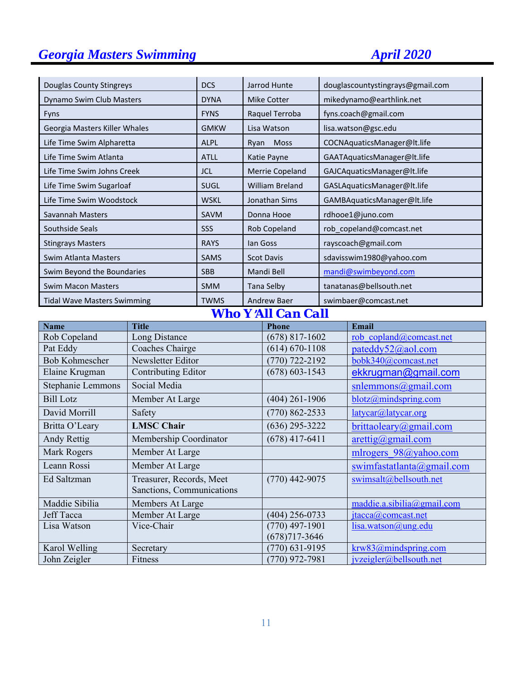| Douglas County Stingreys           | <b>DCS</b>  | Jarrod Hunte           | douglascountystingrays@gmail.com |
|------------------------------------|-------------|------------------------|----------------------------------|
| Dynamo Swim Club Masters           | <b>DYNA</b> | Mike Cotter            | mikedynamo@earthlink.net         |
| <b>Fyns</b>                        | <b>FYNS</b> | Raquel Terroba         | fyns.coach@gmail.com             |
| Georgia Masters Killer Whales      | <b>GMKW</b> | Lisa Watson            | lisa.watson@gsc.edu              |
| Life Time Swim Alpharetta          | <b>ALPL</b> | Ryan Moss              | COCNAquaticsManager@lt.life      |
| Life Time Swim Atlanta             | <b>ATLL</b> | Katie Payne            | GAATAquaticsManager@lt.life      |
| Life Time Swim Johns Creek         | <b>JCL</b>  | Merrie Copeland        | GAJCAquaticsManager@lt.life      |
| Life Time Swim Sugarloaf           | <b>SUGL</b> | <b>William Breland</b> | GASLAquaticsManager@lt.life      |
| Life Time Swim Woodstock           | <b>WSKL</b> | Jonathan Sims          | GAMBAquaticsManager@lt.life      |
| Savannah Masters                   | <b>SAVM</b> | Donna Hooe             | rdhooe1@juno.com                 |
| Southside Seals                    | SSS         | Rob Copeland           | rob copeland@comcast.net         |
| <b>Stingrays Masters</b>           | <b>RAYS</b> | lan Goss               | rayscoach@gmail.com              |
| Swim Atlanta Masters               | <b>SAMS</b> | <b>Scot Davis</b>      | sdavisswim1980@yahoo.com         |
| Swim Beyond the Boundaries         | <b>SBB</b>  | Mandi Bell             | mandi@swimbeyond.com             |
| <b>Swim Macon Masters</b>          | <b>SMM</b>  | Tana Selby             | tanatanas@bellsouth.net          |
| <b>Tidal Wave Masters Swimming</b> | <b>TWMS</b> | <b>Andrew Baer</b>     | swimbaer@comcast.net             |

# *Who Y*=*All Can Call*

| <b>Name</b>       | <b>Title</b>               | <b>Phone</b>       | <b>Email</b>                              |
|-------------------|----------------------------|--------------------|-------------------------------------------|
| Rob Copeland      | Long Distance              | $(678)$ 817-1602   | rob copland@comcast.net                   |
| Pat Eddy          | Coaches Chairge            | $(614) 670 - 1108$ | pateddy52@aol.com                         |
| Bob Kohmescher    | Newsletter Editor          | $(770)$ 722-2192   | bobk340@comcast.net                       |
| Elaine Krugman    | <b>Contributing Editor</b> | $(678) 603 - 1543$ | ekkrugman@gmail.com                       |
| Stephanie Lemmons | Social Media               |                    | $s$ nlemmons@gmail.com                    |
| <b>Bill Lotz</b>  | Member At Large            | $(404)$ 261-1906   | blotz@mindspring.com                      |
| David Morrill     | Safety                     | $(770)$ 862-2533   | latycar@latycar.org                       |
| Britta O'Leary    | <b>LMSC Chair</b>          | $(636)$ 295-3222   | brittaoleary@gmail.com                    |
| Andy Rettig       | Membership Coordinator     | $(678)$ 417-6411   | $\arcti\frac{g}{\alpha}$ gmail.com        |
| Mark Rogers       | Member At Large            |                    | mlrogers 98@yahoo.com                     |
| Leann Rossi       | Member At Large            |                    | swimfastatlanta(Qgmail.com)               |
| Ed Saltzman       | Treasurer, Records, Meet   | $(770)$ 442-9075   | swimsalt@bellsouth.net                    |
|                   | Sanctions, Communications  |                    |                                           |
| Maddie Sibilia    | Members At Large           |                    | maddie.a.sibilia@gmail.com                |
| Jeff Tacca        | Member At Large            | $(404)$ 256-0733   | $\text{itacca}(\overline{a})$ comcast.net |
| Lisa Watson       | Vice-Chair                 | $(770)$ 497-1901   | lisa.watson@ung.edu                       |
|                   |                            | $(678)717 - 3646$  |                                           |
| Karol Welling     | Secretary                  | $(770)$ 631-9195   | krw83@mindspring.com                      |
| John Zeigler      | Fitness                    | $(770)$ 972-7981   | jvzeigler@bellsouth.net                   |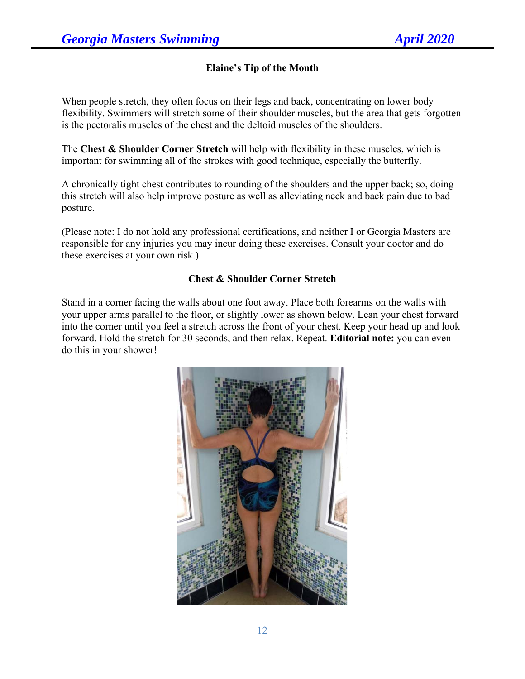## **Elaine's Tip of the Month**

When people stretch, they often focus on their legs and back, concentrating on lower body flexibility. Swimmers will stretch some of their shoulder muscles, but the area that gets forgotten is the pectoralis muscles of the chest and the deltoid muscles of the shoulders.

The **Chest & Shoulder Corner Stretch** will help with flexibility in these muscles, which is important for swimming all of the strokes with good technique, especially the butterfly.

A chronically tight chest contributes to rounding of the shoulders and the upper back; so, doing this stretch will also help improve posture as well as alleviating neck and back pain due to bad posture.

(Please note: I do not hold any professional certifications, and neither I or Georgia Masters are responsible for any injuries you may incur doing these exercises. Consult your doctor and do these exercises at your own risk.)

### **Chest & Shoulder Corner Stretch**

Stand in a corner facing the walls about one foot away. Place both forearms on the walls with your upper arms parallel to the floor, or slightly lower as shown below. Lean your chest forward into the corner until you feel a stretch across the front of your chest. Keep your head up and look forward. Hold the stretch for 30 seconds, and then relax. Repeat. **Editorial note:** you can even do this in your shower!